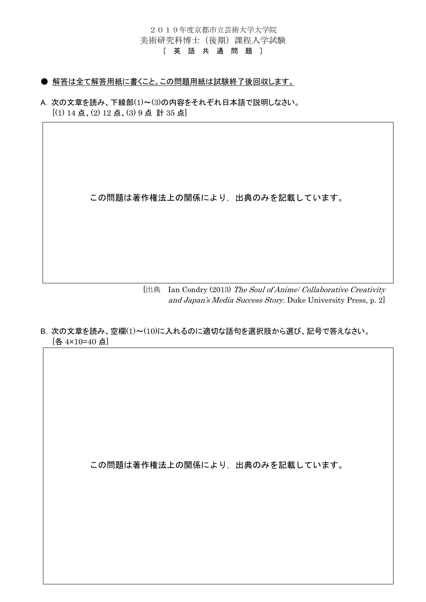## 2019年度京都市立芸術大学大学院 美術研究科博士(後期)課程入学試験 [ 英 語 共 通 問 題 ]

● 解答は全て解答用紙に書くこと。この問題用紙は試験終了後回収します。

A. 次の文章を読み、下線部(1)~(3)の内容をそれぞれ日本語で説明しなさい。 [(1) 14 点、(2) 12 点、(3) 9 点 計 35 点]

この問題は著作権法上の関係により,出典のみを記載しています。

[出典 Ian Condry (2013) The Soul of Anime: Collaborative Creativity and Japan's Media Success Story. Duke University Press, p. 2]

B. 次の文章を読み、空欄(1)~(10)に入れるのに適切な語句を選択肢から選び、記号で答えなさい。 [各 4×10=40 点]

この問題は著作権法上の関係により,出典のみを記載しています。